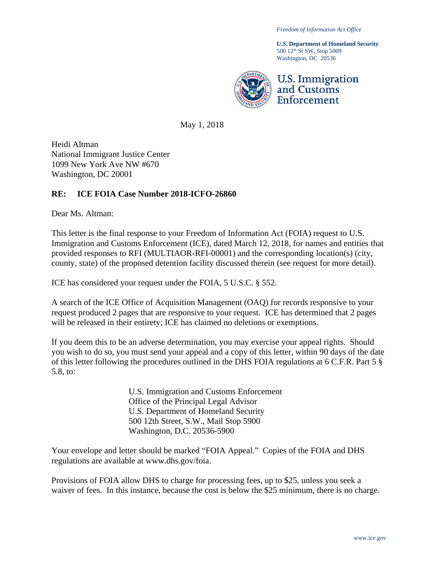*Freedom of Information Act Office*

**U.S. Department of Homeland Security** 500 12th St SW, Stop 5009 Washington, DC 20536



May 1, 2018

Heidi Altman National Immigrant Justice Center 1099 New York Ave NW #670 Washington, DC 20001

#### **RE: ICE FOIA Case Number 2018-ICFO-26860**

Dear Ms. Altman:

This letter is the final response to your Freedom of Information Act (FOIA) request to U.S. Immigration and Customs Enforcement (ICE), dated March 12, 2018, for names and entities that provided responses to RFI (MULTIAOR-RFI-00001) and the corresponding location(s) (city, county, state) of the proposed detention facility discussed therein (see request for more detail).

ICE has considered your request under the FOIA, 5 U.S.C. § 552.

A search of the ICE Office of Acquisition Management (OAQ) for records responsive to your request produced 2 pages that are responsive to your request. ICE has determined that 2 pages will be released in their entirety; ICE has claimed no deletions or exemptions.

If you deem this to be an adverse determination, you may exercise your appeal rights. Should you wish to do so, you must send your appeal and a copy of this letter, within 90 days of the date of this letter following the procedures outlined in the DHS FOIA regulations at 6 C.F.R. Part 5 § 5.8, to:

> U.S. Immigration and Customs Enforcement Office of the Principal Legal Advisor U.S. Department of Homeland Security 500 12th Street, S.W., Mail Stop 5900 Washington, D.C. 20536-5900

Your envelope and letter should be marked "FOIA Appeal." Copies of the FOIA and DHS regulations are available at www.dhs.gov/foia.

Provisions of FOIA allow DHS to charge for processing fees, up to \$25, unless you seek a waiver of fees. In this instance, because the cost is below the \$25 minimum, there is no charge.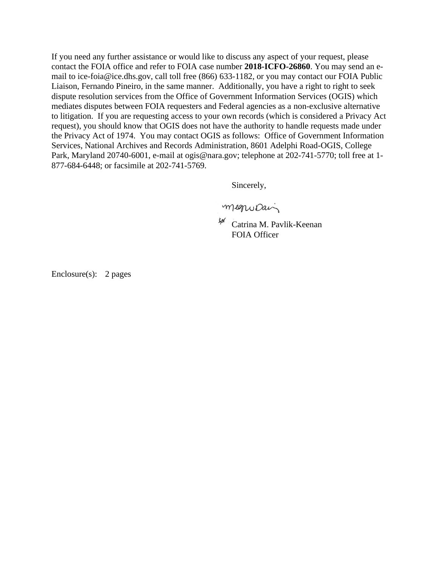If you need any further assistance or would like to discuss any aspect of your request, please contact the FOIA office and refer to FOIA case number **2018-ICFO-26860**. You may send an email to ice-foia@ice.dhs.gov, call toll free (866) 633-1182, or you may contact our FOIA Public Liaison, Fernando Pineiro, in the same manner. Additionally, you have a right to right to seek dispute resolution services from the Office of Government Information Services (OGIS) which mediates disputes between FOIA requesters and Federal agencies as a non-exclusive alternative to litigation. If you are requesting access to your own records (which is considered a Privacy Act request), you should know that OGIS does not have the authority to handle requests made under the Privacy Act of 1974. You may contact OGIS as follows: Office of Government Information Services, National Archives and Records Administration, 8601 Adelphi Road-OGIS, College Park, Maryland 20740-6001, e-mail at ogis@nara.gov; telephone at 202-741-5770; toll free at 1- 877-684-6448; or facsimile at 202-741-5769.

Sincerely,

megropai

Catrina M. Pavlik-Keenan FOIA Officer

Enclosure(s): 2 pages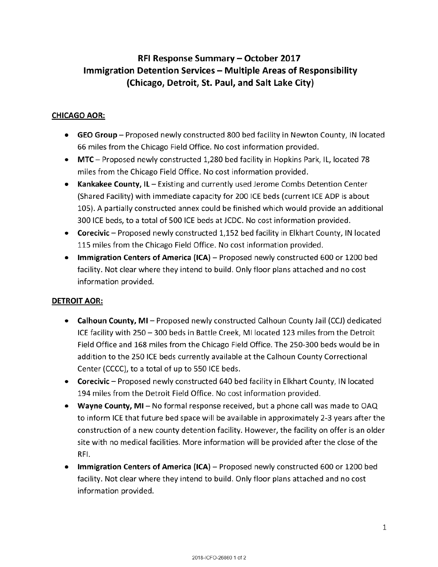# **RFI Response Summary — October 2017 Immigration Detention Services — Multiple Areas of Responsibility (Chicago, Detroit, St. Paul, and Salt Lake City)**

# **CHICAGO AOR:**

- **GEO Group** Proposed newly constructed 800 bed facility in Newton County, IN located 66 miles from the Chicago Field Office. No cost information provided.
- **MTC** Proposed newly constructed 1,280 bed facility in Hopkins Park, IL, located 78 miles from the Chicago Field Office. No cost information provided.
- **Kankakee County, IL** Existing and currently used Jerome Combs Detention Center (Shared Facility) with immediate capacity for 200 ICE beds (current ICE ADP is about 105). A partially constructed annex could be finished which would provide an additional 300 ICE beds, to a total of 500 ICE beds at JCDC. No cost information provided.
- **Corecivic** Proposed newly constructed 1,152 bed facility in Elkhart County, IN located 115 miles from the Chicago Field Office. No cost information provided.
- **Immigration Centers of America (ICA)** Proposed newly constructed 600 or 1200 bed facility. Not clear where they intend to build. Only floor plans attached and no cost information provided.

## **DETROIT AOR:**

- **Calhoun County, MI** Proposed newly constructed Calhoun County Jail (CCJ) dedicated ICE facility with 250— 300 beds in Battle Creek, MI located 123 miles from the Detroit Field Office and 168 miles from the Chicago Field Office. The 250-300 beds would be in addition to the 250 ICE beds currently available at the Calhoun County Correctional Center (CCCC), to a total of up to 550 ICE beds.
- **Corecivic** Proposed newly constructed 640 bed facility in Elkhart County, IN located 194 miles from the Detroit Field Office. No cost information provided.
- **Wayne County, MI** No formal response received, but a phone call was made to OAQ to inform ICE that future bed space will be available in approximately 2-3 years after the construction of a new county detention facility. However, the facility on offer is an older site with no medical facilities. More information will be provided after the close of the RFI.
- **Immigration Centers of America (ICA)** Proposed newly constructed 600 or 1200 bed facility. Not clear where they intend to build. Only floor plans attached and no cost information provided.